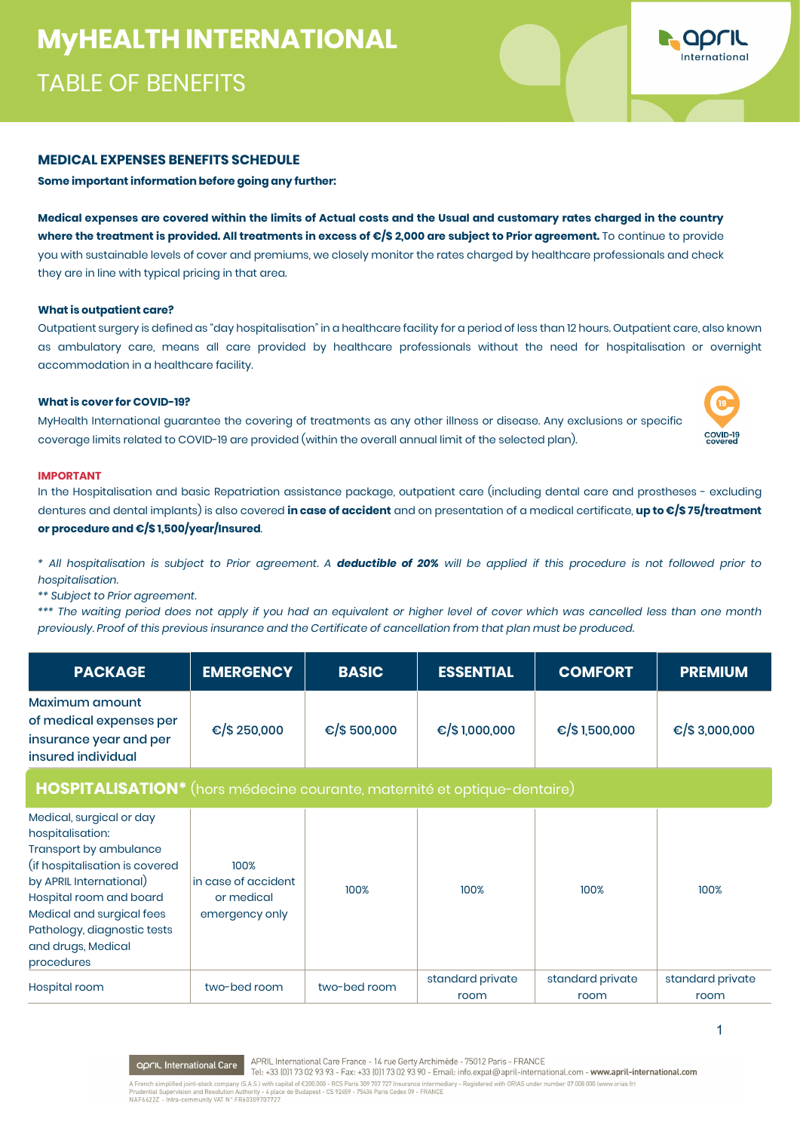# **MYHEALTH INTERNATIONAL MyHEALTH INTERNATIONAL**  TABLE OF BENEFITS

### **MEDICAL EXPENSES BENEFITS SCHEDULE**

**Some important information before going any further:** 

**Medical expenses are covered within the limits of Actual costs and the Usual and customary rates charged in the country where the treatment is provided. All treatments in excess of €/\$ 2,000 are subject to Prior agreement.** To continue to provide you with sustainable levels of cover and premiums, we closely monitor the rates charged by healthcare professionals and check they are in line with typical pricing in that area.

### **What is outpatient care?**

Outpatient surgery is defined as "day hospitalisation" in a healthcare facility for a period of less than 12 hours. Outpatient care, also known as ambulatory care, means all care provided by healthcare professionals without the need for hospitalisation or overnight accommodation in a healthcare facility.

### **What is cover for COVID-19?**

MyHealth International guarantee the covering of treatments as any other illness or disease. Any exclusions or specific coverage limits related to COVID-19 are provided (within the overall annual limit of the selected plan).

#### **IMPORTANT**

In the Hospitalisation and basic Repatriation assistance package, outpatient care (including dental care and prostheses - excluding dentures and dental implants) is also covered **in case of accident** and on presentation of a medical certificate, **up to €/\$ 75/treatment or procedure and €/\$ 1,500/year/Insured**.

*\* All hospitalisation is subject to Prior agreement. A deductible of 20% will be applied if this procedure is not followed prior to hospitalisation.*

*\*\* Subject to Prior agreement.*

*\*\*\* The waiting period does not apply if you had an equivalent or higher level of cover which was cancelled less than one month previously. Proof of this previous insurance and the Certificate of cancellation from that plan must be produced.*

| <b>PACKAGE</b>                                                                                                                                                                                                                                                 | <b>EMERGENCY</b>                                            | <b>BASIC</b>            | <b>ESSENTIAL</b>         | <b>COMFORT</b>           | <b>PREMIUM</b>            |
|----------------------------------------------------------------------------------------------------------------------------------------------------------------------------------------------------------------------------------------------------------------|-------------------------------------------------------------|-------------------------|--------------------------|--------------------------|---------------------------|
| Maximum amount<br>of medical expenses per<br>insurance year and per<br>insured individual                                                                                                                                                                      | €/\$ 250,000                                                | € $\frac{1}{2}$ 500,000 | €/\$1,000,000            | €/\$1,500,000            | € $\frac{1}{5}$ 3,000,000 |
| HOSPITALISATION <sup>*</sup> (hors médecine courante, maternité et optique-dentaire)                                                                                                                                                                           |                                                             |                         |                          |                          |                           |
| Medical, surgical or day<br>hospitalisation:<br>Transport by ambulance<br>(if hospitalisation is covered<br>by APRIL International)<br>Hospital room and board<br>Medical and surgical fees<br>Pathology, diagnostic tests<br>and drugs, Medical<br>procedures | 100%<br>in case of accident<br>or medical<br>emergency only | 100%                    | 100%                     | 100%                     | 100%                      |
| Hospital room                                                                                                                                                                                                                                                  | two-bed room                                                | two-bed room            | standard private<br>room | standard private<br>room | standard private<br>room  |

APRIL International Care France - 14 rue Gerty Archimède - 75012 Paris - FRANCE **April International Care** Tel: +33 (0)173 02 93 93 - Fax: +33 (0)173 02 93 90 - Email: info.expat@april-international.com - www.april-international.com A French simplified joint-stock company (S.A.S.) with capital of €200,000 - RCS Paris 309 707 727 Insurance intermediary - Registered with ORIAS under number 07 008 000 (www.orias.fr)<br>Prudential Supervision and Resolution



COVID-19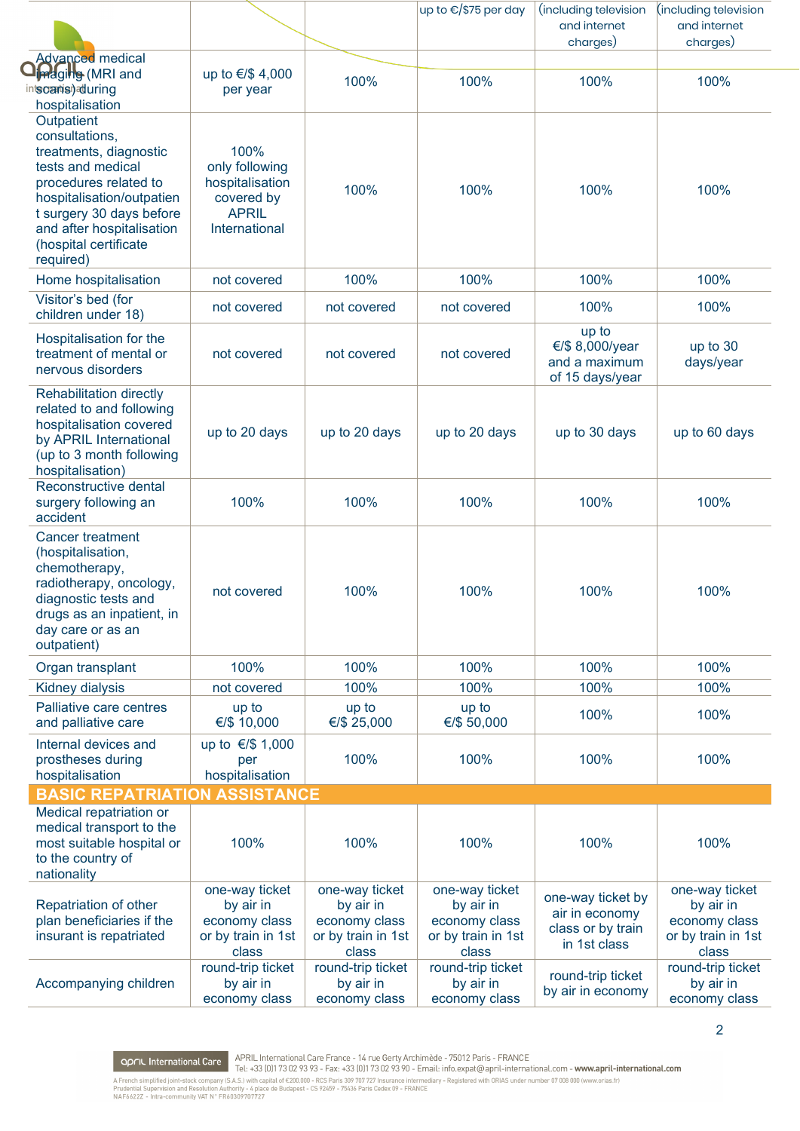|                                                                                                                                                                                                                                  |                                                                                          |                                                                             | up to €/\$75 per day                                                        | (including television<br>and internet<br>charges)                        | (including television<br>and internet<br>charges)                           |
|----------------------------------------------------------------------------------------------------------------------------------------------------------------------------------------------------------------------------------|------------------------------------------------------------------------------------------|-----------------------------------------------------------------------------|-----------------------------------------------------------------------------|--------------------------------------------------------------------------|-----------------------------------------------------------------------------|
| <b>Advanced medical</b><br><b>Indgille</b> (MRI and<br>intscartis) during<br>hospitalisation                                                                                                                                     | up to €/\$ 4,000<br>per year                                                             | 100%                                                                        | 100%                                                                        | 100%                                                                     | 100%                                                                        |
| Outpatient<br>consultations,<br>treatments, diagnostic<br>tests and medical<br>procedures related to<br>hospitalisation/outpatien<br>t surgery 30 days before<br>and after hospitalisation<br>(hospital certificate<br>required) | 100%<br>only following<br>hospitalisation<br>covered by<br><b>APRIL</b><br>International | 100%                                                                        | 100%                                                                        | 100%                                                                     | 100%                                                                        |
| Home hospitalisation                                                                                                                                                                                                             | not covered                                                                              | 100%                                                                        | 100%                                                                        | 100%                                                                     | 100%                                                                        |
| Visitor's bed (for<br>children under 18)                                                                                                                                                                                         | not covered                                                                              | not covered                                                                 | not covered                                                                 | 100%                                                                     | 100%                                                                        |
| Hospitalisation for the<br>treatment of mental or<br>nervous disorders                                                                                                                                                           | not covered                                                                              | not covered                                                                 | not covered                                                                 | up to<br>€/\$ 8,000/year<br>and a maximum<br>of 15 days/year             | up to 30<br>days/year                                                       |
| <b>Rehabilitation directly</b><br>related to and following<br>hospitalisation covered<br>by APRIL International<br>(up to 3 month following<br>hospitalisation)                                                                  | up to 20 days                                                                            | up to 20 days                                                               | up to 20 days                                                               | up to 30 days                                                            | up to 60 days                                                               |
| Reconstructive dental<br>surgery following an<br>accident                                                                                                                                                                        | 100%                                                                                     | 100%                                                                        | 100%                                                                        | 100%                                                                     | 100%                                                                        |
| <b>Cancer treatment</b><br>(hospitalisation,<br>chemotherapy,<br>radiotherapy, oncology,<br>diagnostic tests and<br>drugs as an inpatient, in<br>day care or as an<br>outpatient)                                                | not covered                                                                              | 100%                                                                        | 100%                                                                        | 100%                                                                     | 100%                                                                        |
| Organ transplant                                                                                                                                                                                                                 | 100%                                                                                     | 100%                                                                        | 100%                                                                        | 100%                                                                     | 100%                                                                        |
| Kidney dialysis                                                                                                                                                                                                                  | not covered                                                                              | 100%                                                                        | 100%                                                                        | 100%                                                                     | 100%                                                                        |
| Palliative care centres<br>and palliative care                                                                                                                                                                                   | up to<br>€/\$ 10,000                                                                     | up to<br>€/\$ 25,000                                                        | up to<br>€/\$ 50,000                                                        | 100%                                                                     | 100%                                                                        |
| Internal devices and<br>prostheses during<br>hospitalisation                                                                                                                                                                     | up to €/\$ 1,000<br>per<br>hospitalisation                                               | 100%                                                                        | 100%                                                                        | 100%                                                                     | 100%                                                                        |
| <b>BASIC REPATRIATION ASSISTANCE</b>                                                                                                                                                                                             |                                                                                          |                                                                             |                                                                             |                                                                          |                                                                             |
| Medical repatriation or<br>medical transport to the<br>most suitable hospital or<br>to the country of<br>nationality                                                                                                             | 100%                                                                                     | 100%                                                                        | 100%                                                                        | 100%                                                                     | 100%                                                                        |
| Repatriation of other<br>plan beneficiaries if the<br>insurant is repatriated                                                                                                                                                    | one-way ticket<br>by air in<br>economy class<br>or by train in 1st<br>class              | one-way ticket<br>by air in<br>economy class<br>or by train in 1st<br>class | one-way ticket<br>by air in<br>economy class<br>or by train in 1st<br>class | one-way ticket by<br>air in economy<br>class or by train<br>in 1st class | one-way ticket<br>by air in<br>economy class<br>or by train in 1st<br>class |
| Accompanying children                                                                                                                                                                                                            | round-trip ticket<br>by air in<br>economy class                                          | round-trip ticket<br>by air in<br>economy class                             | round-trip ticket<br>by air in<br>economy class                             | round-trip ticket<br>by air in economy                                   | round-trip ticket<br>by air in<br>economy class                             |

**OPFIL International Care** APRIL International Care France - 14 rue Gerty Archimède - 75012 Paris - FRANCE<br>A French simplified joint-stock company (S.A.S.) with capital of €200,000 - RCS Paris 309 707 727 Insurance interme

 $\overline{2}$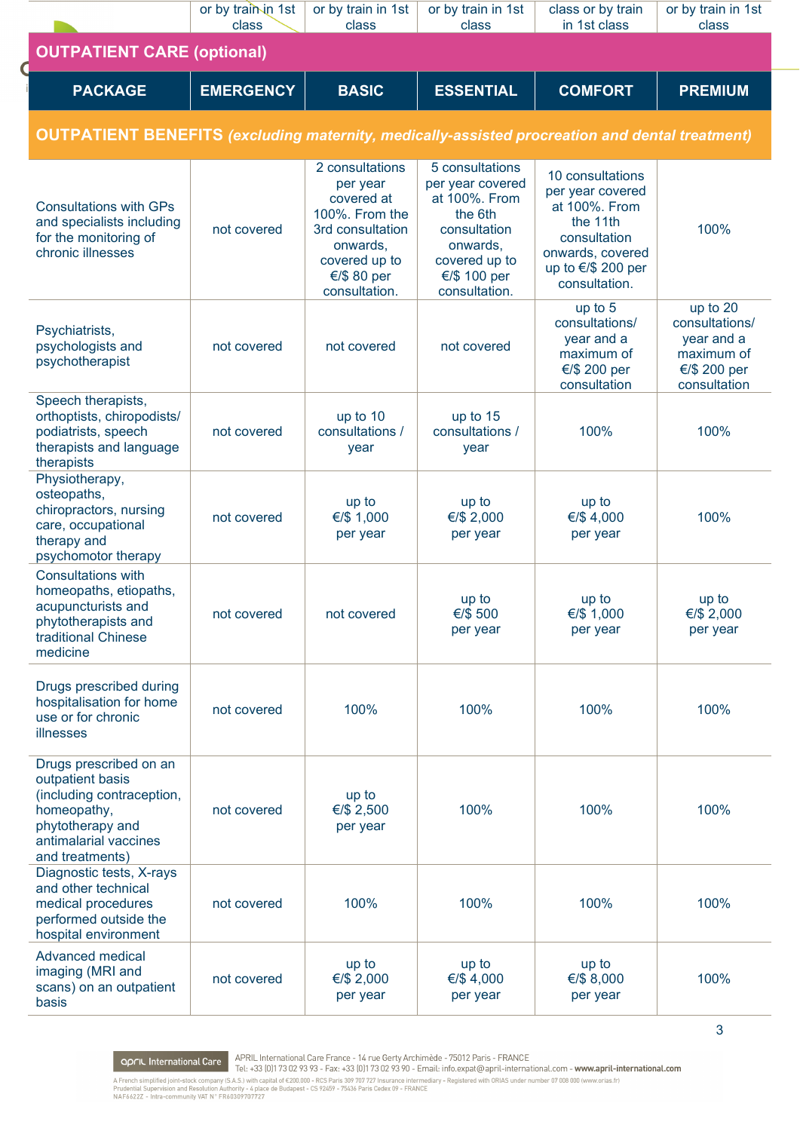|                                                                                                                                                        | or by train in 1st<br>class | or by train in 1st<br>class                                                                                                                  | or by train in 1st<br>class                                                                                                                   | class or by train<br>in 1st class                                                                                                                      | or by train in 1st<br>class                                                            |
|--------------------------------------------------------------------------------------------------------------------------------------------------------|-----------------------------|----------------------------------------------------------------------------------------------------------------------------------------------|-----------------------------------------------------------------------------------------------------------------------------------------------|--------------------------------------------------------------------------------------------------------------------------------------------------------|----------------------------------------------------------------------------------------|
| <b>OUTPATIENT CARE (optional)</b>                                                                                                                      |                             |                                                                                                                                              |                                                                                                                                               |                                                                                                                                                        |                                                                                        |
| <b>PACKAGE</b>                                                                                                                                         | <b>EMERGENCY</b>            | <b>BASIC</b>                                                                                                                                 | <b>ESSENTIAL</b>                                                                                                                              | <b>COMFORT</b>                                                                                                                                         | <b>PREMIUM</b>                                                                         |
| <b>OUTPATIENT BENEFITS</b> (excluding maternity, medically-assisted procreation and dental treatment)                                                  |                             |                                                                                                                                              |                                                                                                                                               |                                                                                                                                                        |                                                                                        |
| <b>Consultations with GPs</b><br>and specialists including<br>for the monitoring of<br>chronic illnesses                                               | not covered                 | 2 consultations<br>per year<br>covered at<br>100%. From the<br>3rd consultation<br>onwards,<br>covered up to<br>€/\$ 80 per<br>consultation. | 5 consultations<br>per year covered<br>at 100%. From<br>the 6th<br>consultation<br>onwards,<br>covered up to<br>€/\$ 100 per<br>consultation. | 10 consultations<br>per year covered<br>at 100%. From<br>the 11th<br>consultation<br>onwards, covered<br>up to $\epsilon$ /\$ 200 per<br>consultation. | 100%                                                                                   |
| Psychiatrists,<br>psychologists and<br>psychotherapist                                                                                                 | not covered                 | not covered                                                                                                                                  | not covered                                                                                                                                   | up to 5<br>consultations/<br>year and a<br>maximum of<br>€/\$ 200 per<br>consultation                                                                  | up to 20<br>consultations/<br>year and a<br>maximum of<br>€/\$ 200 per<br>consultation |
| Speech therapists,<br>orthoptists, chiropodists/<br>podiatrists, speech<br>therapists and language<br>therapists                                       | not covered                 | up to 10<br>consultations /<br>year                                                                                                          | up to 15<br>consultations /<br>year                                                                                                           | 100%                                                                                                                                                   | 100%                                                                                   |
| Physiotherapy,<br>osteopaths,<br>chiropractors, nursing<br>care, occupational<br>therapy and<br>psychomotor therapy                                    | not covered                 | up to<br>€/\$ 1,000<br>per year                                                                                                              | up to<br>€/\$ 2,000<br>per year                                                                                                               | up to<br>€/\$4,000<br>per year                                                                                                                         | 100%                                                                                   |
| <b>Consultations with</b><br>homeopaths, etiopaths,<br>acupuncturists and<br>phytotherapists and<br>traditional Chinese<br>medicine                    | not covered                 | not covered                                                                                                                                  | up to<br>€/\$ 500<br>per year                                                                                                                 | up to<br>€/\$ 1,000<br>per year                                                                                                                        | up to<br>€/\$ 2,000<br>per year                                                        |
| Drugs prescribed during<br>hospitalisation for home<br>use or for chronic<br>illnesses                                                                 | not covered                 | 100%                                                                                                                                         | 100%                                                                                                                                          | 100%                                                                                                                                                   | 100%                                                                                   |
| Drugs prescribed on an<br>outpatient basis<br>(including contraception,<br>homeopathy,<br>phytotherapy and<br>antimalarial vaccines<br>and treatments) | not covered                 | up to<br>€/\$ 2,500<br>per year                                                                                                              | 100%                                                                                                                                          | 100%                                                                                                                                                   | 100%                                                                                   |
| Diagnostic tests, X-rays<br>and other technical<br>medical procedures<br>performed outside the<br>hospital environment                                 | not covered                 | 100%                                                                                                                                         | 100%                                                                                                                                          | 100%                                                                                                                                                   | 100%                                                                                   |
| <b>Advanced medical</b><br>imaging (MRI and<br>scans) on an outpatient<br>basis                                                                        | not covered                 | up to<br>€/\$ 2,000<br>per year                                                                                                              | up to<br>€/\$4,000<br>per year                                                                                                                | up to<br>€/\$ 8,000<br>per year                                                                                                                        | 100%                                                                                   |

**OPFIL International Care** APRIL International Care France - 14 rue Gerty Archimède - 75012 Paris - FRANCE<br>A French simplified joint-stock company (S.A.S.) with capital of €200,000 - RCS Paris 309 707 727 Insurance interme

 $\overline{3}$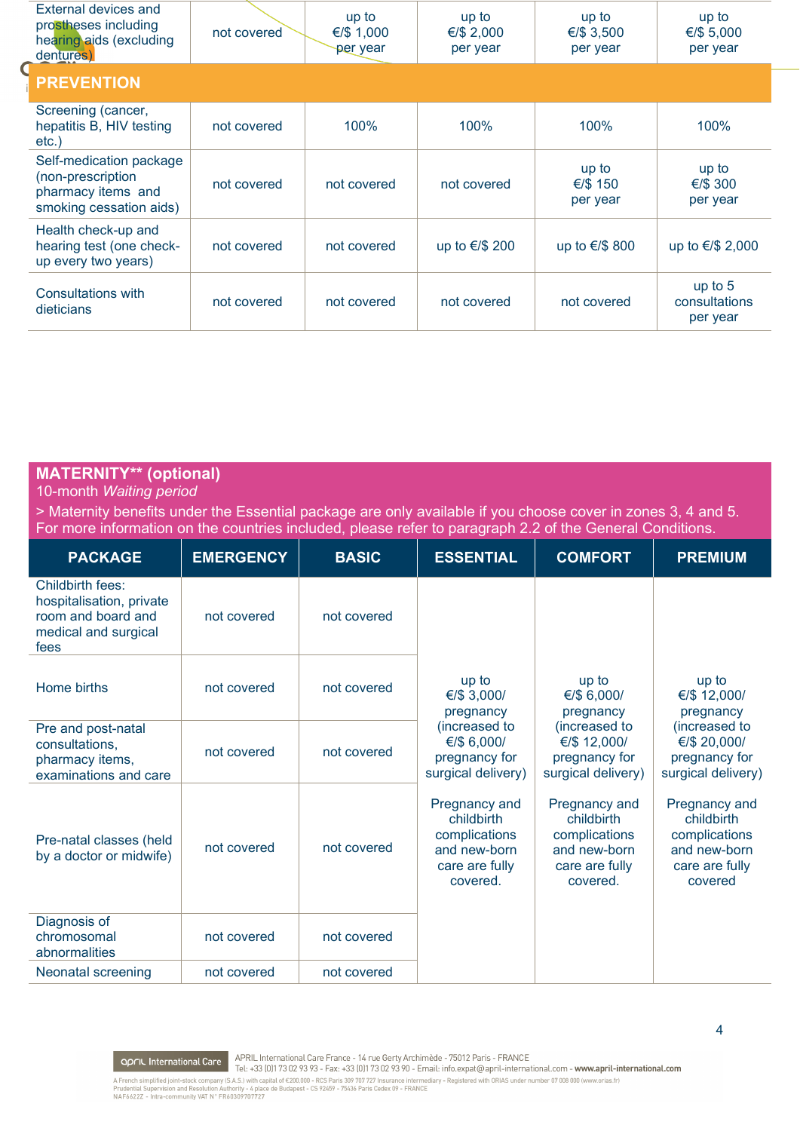| External devices and<br>prostheses including<br>hearing aids (excluding<br>dentures)          | not covered | up to<br>€/\$ 1,000<br>per year | up to<br>€/\$ 2,000<br>per year | up to<br>€/\$ 3,500<br>per year | up to<br>€/\$ 5,000<br>per year      |
|-----------------------------------------------------------------------------------------------|-------------|---------------------------------|---------------------------------|---------------------------------|--------------------------------------|
| <b>PREVENTION</b>                                                                             |             |                                 |                                 |                                 |                                      |
| Screening (cancer,<br>hepatitis B, HIV testing<br>etc.                                        | not covered | 100%                            | 100%                            | 100%                            | 100%                                 |
| Self-medication package<br>(non-prescription<br>pharmacy items and<br>smoking cessation aids) | not covered | not covered                     | not covered                     | up to<br>€/\$ 150<br>per year   | up to<br>€/\$ 300<br>per year        |
| Health check-up and<br>hearing test (one check-<br>up every two years)                        | not covered | not covered                     | up to €/\$ 200                  | up to €/\$ 800                  | up to €/\$ 2,000                     |
| Consultations with<br>dieticians                                                              | not covered | not covered                     | not covered                     | not covered                     | up to 5<br>consultations<br>per year |

# **MATERNITY\*\* (optional)**

10-month *Waiting period*

> Maternity benefits under the Essential package are only available if you choose cover in zones 3, 4 and 5. For more information on the countries included, please refer to paragraph 2.2 of the General Conditions.

| <b>PACKAGE</b>                                                                                     | <b>EMERGENCY</b> | <b>BASIC</b> | <b>ESSENTIAL</b>                                                                                         | <b>COMFORT</b>                                                                                                                                                     | <b>PREMIUM</b>                                                                                                                                                    |                                    |
|----------------------------------------------------------------------------------------------------|------------------|--------------|----------------------------------------------------------------------------------------------------------|--------------------------------------------------------------------------------------------------------------------------------------------------------------------|-------------------------------------------------------------------------------------------------------------------------------------------------------------------|------------------------------------|
| Childbirth fees:<br>hospitalisation, private<br>room and board and<br>medical and surgical<br>fees | not covered      | not covered  |                                                                                                          |                                                                                                                                                                    |                                                                                                                                                                   |                                    |
| Home births                                                                                        | not covered      | not covered  | up to<br>€/\$ 3,000/<br>pregnancy<br>(increased to<br>€/\$ 6,000/<br>pregnancy for<br>surgical delivery) |                                                                                                                                                                    | up to<br>€/\$ 6,000/<br>pregnancy                                                                                                                                 | up to<br>€/\$ 12,000/<br>pregnancy |
| Pre and post-natal<br>consultations,<br>pharmacy items,<br>examinations and care                   | not covered      | not covered  |                                                                                                          | (increased to<br>€/\$ 12,000/<br>pregnancy for<br>surgical delivery)<br>Pregnancy and<br>childbirth<br>complications<br>and new-born<br>care are fully<br>covered. | (increased to<br>€/\$ 20,000/<br>pregnancy for<br>surgical delivery)<br>Pregnancy and<br>childbirth<br>complications<br>and new-born<br>care are fully<br>covered |                                    |
| Pre-natal classes (held<br>by a doctor or midwife)                                                 | not covered      | not covered  | Pregnancy and<br>childbirth<br>complications<br>and new-born<br>care are fully<br>covered.               |                                                                                                                                                                    |                                                                                                                                                                   |                                    |
| Diagnosis of<br>chromosomal<br>abnormalities                                                       | not covered      | not covered  |                                                                                                          |                                                                                                                                                                    |                                                                                                                                                                   |                                    |
| Neonatal screening                                                                                 | not covered      | not covered  |                                                                                                          |                                                                                                                                                                    |                                                                                                                                                                   |                                    |

**APRIL International Care**<br>Tel: +33 (0)173 02 93 93 - Fax: +33 (0)173 02 93 90 - Email: info.expat@april-international.com - www.april-international.com<br>A French simplified joint-stock company (S.A.S.) with capital of €200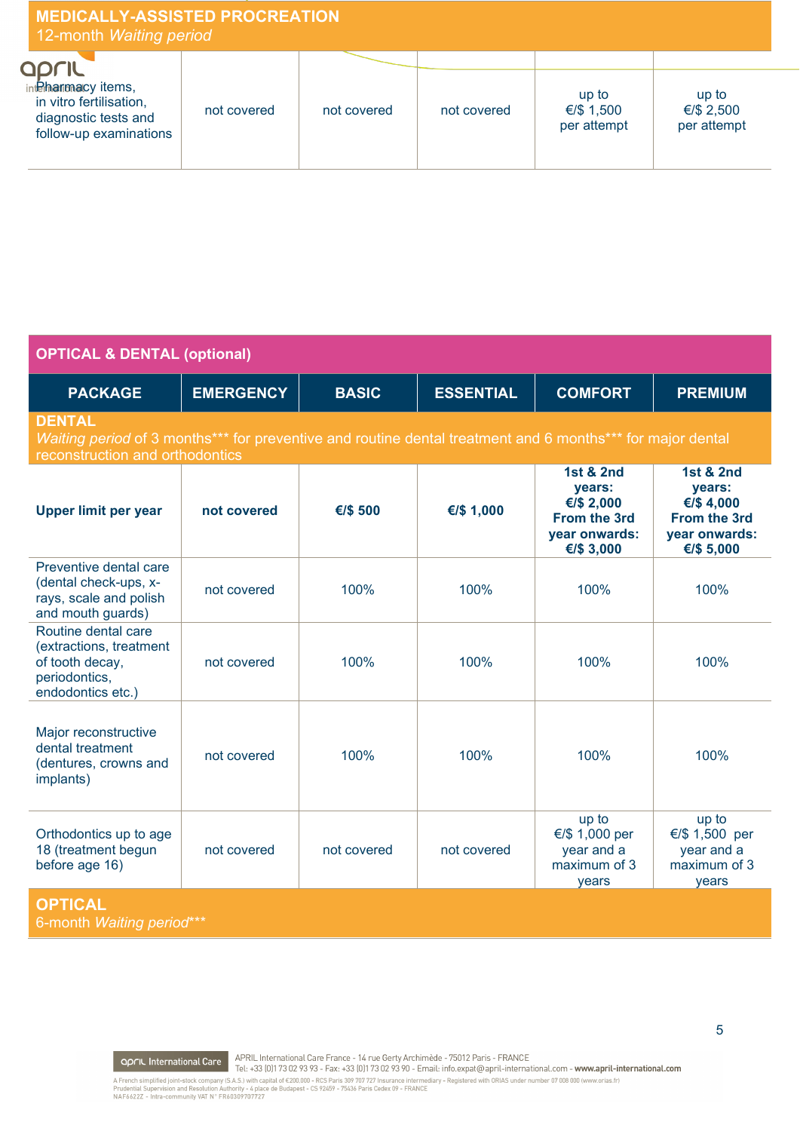| <b>MEDICALLY-ASSISTED PROCREATION</b><br>12-month Waiting period                                             |             |             |             |                                    |                                    |
|--------------------------------------------------------------------------------------------------------------|-------------|-------------|-------------|------------------------------------|------------------------------------|
| QPLIL<br>internationalcy items,<br>in vitro fertilisation,<br>diagnostic tests and<br>follow-up examinations | not covered | not covered | not covered | up to<br>€/\$ 1,500<br>per attempt | up to<br>€/\$ 2,500<br>per attempt |

| <b>OPTICAL &amp; DENTAL (optional)</b>                                                                  |                                                                                                                                                           |              |                  |                                                                                             |                                                                                            |  |  |
|---------------------------------------------------------------------------------------------------------|-----------------------------------------------------------------------------------------------------------------------------------------------------------|--------------|------------------|---------------------------------------------------------------------------------------------|--------------------------------------------------------------------------------------------|--|--|
| <b>PACKAGE</b>                                                                                          | <b>EMERGENCY</b>                                                                                                                                          | <b>BASIC</b> | <b>ESSENTIAL</b> | <b>COMFORT</b>                                                                              | <b>PREMIUM</b>                                                                             |  |  |
| <b>DENTAL</b>                                                                                           | Waiting period of 3 months <sup>***</sup> for preventive and routine dental treatment and 6 months*** for major dental<br>reconstruction and orthodontics |              |                  |                                                                                             |                                                                                            |  |  |
| <b>Upper limit per year</b>                                                                             | not covered                                                                                                                                               | €/\$ 500     | €/\$ 1,000       | <b>1st &amp; 2nd</b><br>years:<br>€/\$ 2,000<br>From the 3rd<br>year onwards:<br>€/\$ 3,000 | <b>1st &amp; 2nd</b><br>years:<br>€/\$4,000<br>From the 3rd<br>year onwards:<br>€/\$ 5,000 |  |  |
| Preventive dental care<br>(dental check-ups, x-<br>rays, scale and polish<br>and mouth guards)          | not covered                                                                                                                                               | 100%         | 100%             | 100%                                                                                        | 100%                                                                                       |  |  |
| Routine dental care<br>(extractions, treatment<br>of tooth decay,<br>periodontics,<br>endodontics etc.) | not covered                                                                                                                                               | 100%         | 100%             | 100%                                                                                        | 100%                                                                                       |  |  |
| Major reconstructive<br>dental treatment<br>(dentures, crowns and<br>implants)                          | not covered                                                                                                                                               | 100%         | 100%             | 100%                                                                                        | 100%                                                                                       |  |  |
| Orthodontics up to age<br>18 (treatment begun<br>before age 16)                                         | not covered                                                                                                                                               | not covered  | not covered      | up to<br>€/\$ 1,000 per<br>year and a<br>maximum of 3<br>years                              | up to<br>€/\$ 1,500 per<br>year and a<br>maximum of 3<br>years                             |  |  |
| <b>OPTICAL</b>                                                                                          |                                                                                                                                                           |              |                  |                                                                                             |                                                                                            |  |  |

6-month *Waiting period*\*\*\*

**OPFIL International Care** APRIL International Care France - 14 rue Gerty Archimède - 75012 Paris - FRANCE<br>A French simplified joint-stock company (S.A.S.) with capital of €200,000 - RCS Paris 309 707 727 Insurance interme

5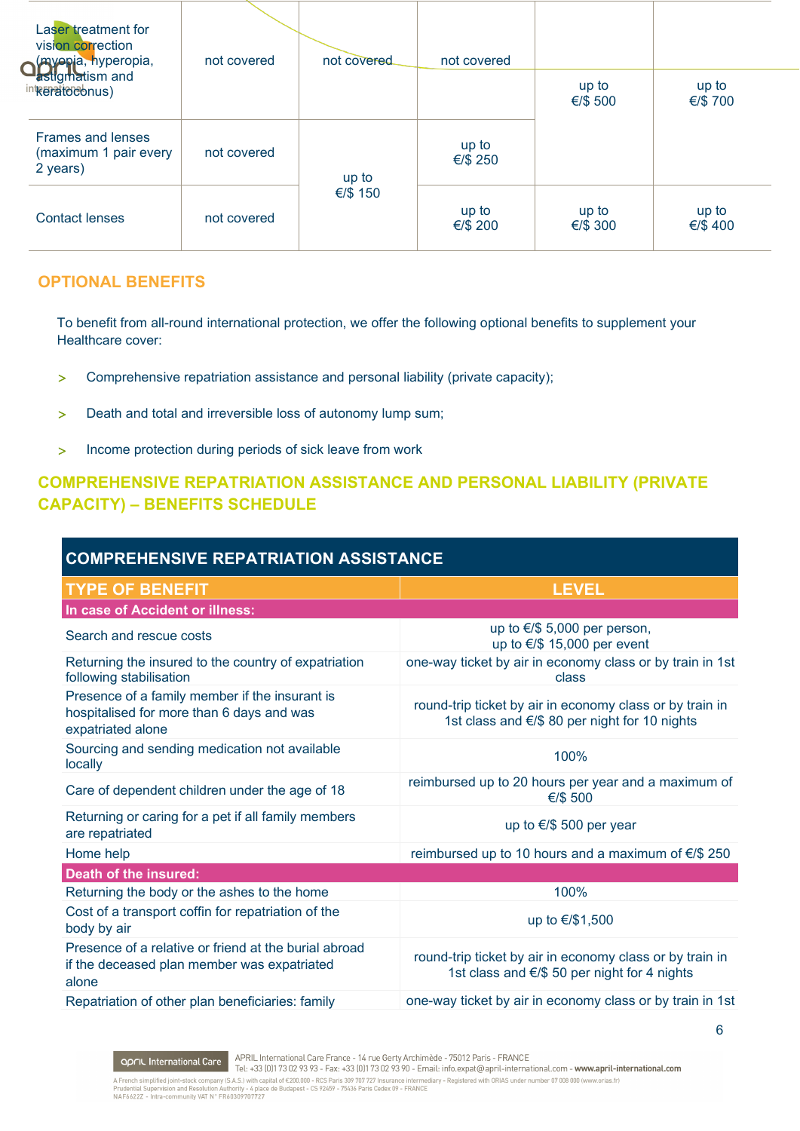| Laser treatment for<br>vision correction<br>Of Wepja, hyperopia, | not covered | not covered | not covered       |                   |                  |
|------------------------------------------------------------------|-------------|-------------|-------------------|-------------------|------------------|
| astigmatism and<br>interatordonus)                               |             |             |                   | up to<br>€/\$ 500 | up to<br>€/\$700 |
| <b>Frames and lenses</b><br>(maximum 1 pair every<br>2 years)    | not covered | up to       | up to<br>€/\$ 250 |                   |                  |
| <b>Contact lenses</b>                                            | not covered | €/\$ 150    | up to<br>€/\$ 200 | up to<br>€/\$ 300 | up to<br>€/\$400 |

## **OPTIONAL BENEFITS**

To benefit from all-round international protection, we offer the following optional benefits to supplement your Healthcare cover:

- > Comprehensive repatriation assistance and personal liability (private capacity);
- > Death and total and irreversible loss of autonomy lump sum;
- > Income protection during periods of sick leave from work

# **COMPREHENSIVE REPATRIATION ASSISTANCE AND PERSONAL LIABILITY (PRIVATE CAPACITY) – BENEFITS SCHEDULE**

| <b>COMPREHENSIVE REPATRIATION ASSISTANCE</b>                                                                     |                                                                                                           |  |  |  |  |
|------------------------------------------------------------------------------------------------------------------|-----------------------------------------------------------------------------------------------------------|--|--|--|--|
| <b>TYPE OF BENEFIT</b>                                                                                           | <b>LEVEL</b>                                                                                              |  |  |  |  |
| In case of Accident or illness:                                                                                  |                                                                                                           |  |  |  |  |
| Search and rescue costs                                                                                          | up to $\epsilon$ /\$ 5,000 per person,<br>up to $\epsilon$ /\$ 15,000 per event                           |  |  |  |  |
| Returning the insured to the country of expatriation<br>following stabilisation                                  | one-way ticket by air in economy class or by train in 1st<br>class                                        |  |  |  |  |
| Presence of a family member if the insurant is<br>hospitalised for more than 6 days and was<br>expatriated alone | round-trip ticket by air in economy class or by train in<br>1st class and €/\$ 80 per night for 10 nights |  |  |  |  |
| Sourcing and sending medication not available<br>locally                                                         | 100%                                                                                                      |  |  |  |  |
| Care of dependent children under the age of 18                                                                   | reimbursed up to 20 hours per year and a maximum of<br>€/\$ 500                                           |  |  |  |  |
| Returning or caring for a pet if all family members<br>are repatriated                                           | up to €/\$ 500 per year                                                                                   |  |  |  |  |
| Home help                                                                                                        | reimbursed up to 10 hours and a maximum of €/\$ 250                                                       |  |  |  |  |
| <b>Death of the insured:</b>                                                                                     |                                                                                                           |  |  |  |  |
| Returning the body or the ashes to the home                                                                      | 100%                                                                                                      |  |  |  |  |
| Cost of a transport coffin for repatriation of the<br>body by air                                                | up to €/\$1,500                                                                                           |  |  |  |  |
| Presence of a relative or friend at the burial abroad<br>if the deceased plan member was expatriated<br>alone    | round-trip ticket by air in economy class or by train in<br>1st class and €/\$ 50 per night for 4 nights  |  |  |  |  |
| Repatriation of other plan beneficiaries: family                                                                 | one-way ticket by air in economy class or by train in 1st                                                 |  |  |  |  |

**APRIL International Care** APRIL International Care France - 14 rue Gerty Archimède - 75012 Paris - FRANCE Tel. +33 (0)173 02 93 93 - Fax: +33 (0)173 02 93 90 - Email: info.expat@april-international.com - www.april-interna THEL: TOO 101173 OZ 73 73 - FRA: TOO 117 3 OZ 73 70 - ETHER: ITHORAPHONE AND ITHUS INTERNATIONAL ARTICLE INTERNATIONAL PROPERTY INTERNATIONAL PROPERTY INTERNATIONAL PROPERTY IN PRIGHTER INTERNATIONAL PROPERTY INTERNATIONAL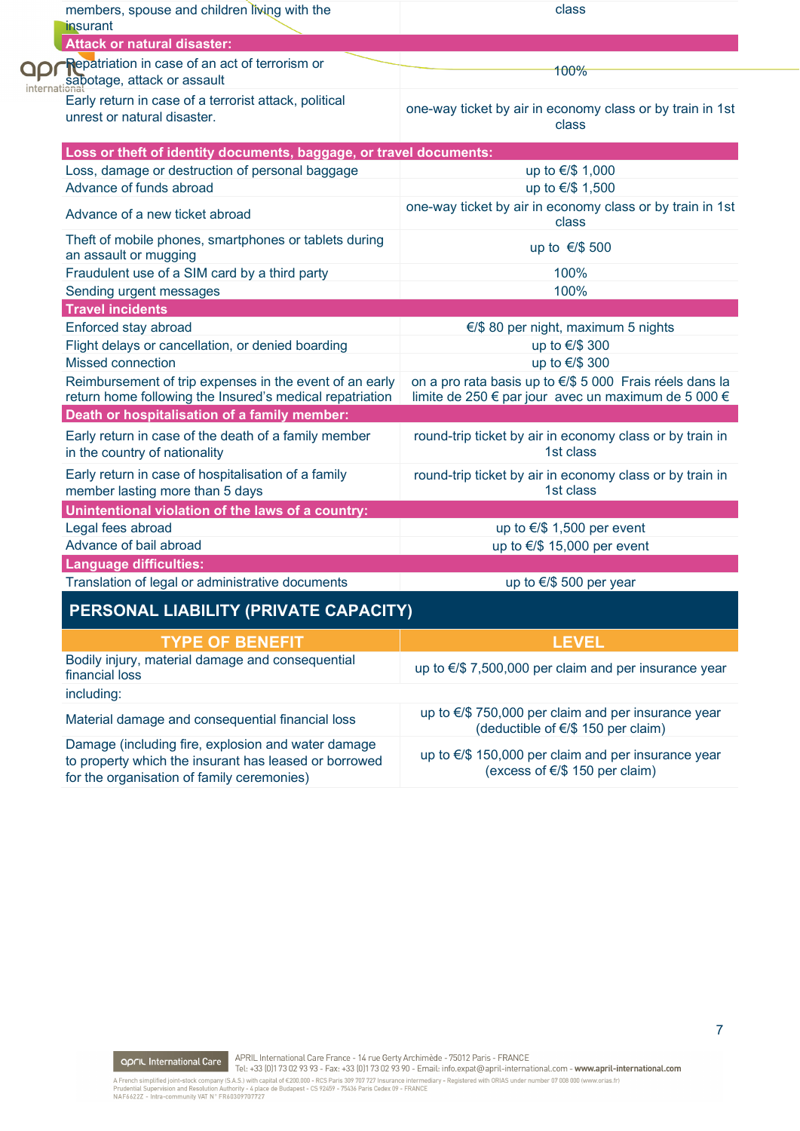| members, spouse and children living with the                                                                                                              | class                                                                                                           |
|-----------------------------------------------------------------------------------------------------------------------------------------------------------|-----------------------------------------------------------------------------------------------------------------|
| insurant<br><b>Attack or natural disaster:</b>                                                                                                            |                                                                                                                 |
| <b>Repatriation in case of an act of terrorism or</b>                                                                                                     |                                                                                                                 |
| sabotage, attack or assault                                                                                                                               | 100%                                                                                                            |
| Early return in case of a terrorist attack, political<br>unrest or natural disaster.                                                                      | one-way ticket by air in economy class or by train in 1st<br>class                                              |
| Loss or theft of identity documents, baggage, or travel documents:                                                                                        |                                                                                                                 |
| Loss, damage or destruction of personal baggage                                                                                                           | up to €/\$ 1,000                                                                                                |
| Advance of funds abroad                                                                                                                                   | up to €/\$ 1,500                                                                                                |
| Advance of a new ticket abroad                                                                                                                            | one-way ticket by air in economy class or by train in 1st<br>class                                              |
| Theft of mobile phones, smartphones or tablets during<br>an assault or mugging                                                                            | up to €/\$ 500                                                                                                  |
| Fraudulent use of a SIM card by a third party                                                                                                             | 100%                                                                                                            |
| Sending urgent messages                                                                                                                                   | 100%                                                                                                            |
| <b>Travel incidents</b>                                                                                                                                   |                                                                                                                 |
| Enforced stay abroad                                                                                                                                      | $\epsilon$ /\$ 80 per night, maximum 5 nights                                                                   |
| Flight delays or cancellation, or denied boarding                                                                                                         | up to €/\$ 300                                                                                                  |
| <b>Missed connection</b>                                                                                                                                  | up to €/\$ 300                                                                                                  |
| Reimbursement of trip expenses in the event of an early<br>return home following the Insured's medical repatriation                                       | on a pro rata basis up to €/\$ 5 000 Frais réels dans la<br>limite de 250 € par jour avec un maximum de 5 000 € |
| Death or hospitalisation of a family member:                                                                                                              |                                                                                                                 |
| Early return in case of the death of a family member<br>in the country of nationality                                                                     | round-trip ticket by air in economy class or by train in<br>1st class                                           |
| Early return in case of hospitalisation of a family<br>member lasting more than 5 days                                                                    | round-trip ticket by air in economy class or by train in<br>1st class                                           |
| Unintentional violation of the laws of a country:                                                                                                         |                                                                                                                 |
| Legal fees abroad                                                                                                                                         | up to $\epsilon$ /\$ 1,500 per event                                                                            |
| Advance of bail abroad                                                                                                                                    | up to $\epsilon$ /\$ 15,000 per event                                                                           |
| <b>Language difficulties:</b>                                                                                                                             |                                                                                                                 |
| Translation of legal or administrative documents                                                                                                          | up to €/\$ 500 per year                                                                                         |
| PERSONAL LIABILITY (PRIVATE CAPACITY)                                                                                                                     |                                                                                                                 |
| <b>TYPE OF BENEFIT</b>                                                                                                                                    | <b>LEVEL</b>                                                                                                    |
| Bodily injury, material damage and consequential<br>financial loss                                                                                        | up to €/\$ 7,500,000 per claim and per insurance year                                                           |
| including:                                                                                                                                                |                                                                                                                 |
| Material damage and consequential financial loss                                                                                                          | up to €/\$ 750,000 per claim and per insurance year<br>(deductible of €/\$ 150 per claim)                       |
| Damage (including fire, explosion and water damage<br>to property which the insurant has leased or borrowed<br>for the organisation of family ceremonies) | up to €/\$ 150,000 per claim and per insurance year<br>(excess of $\epsilon$ /\$ 150 per claim)                 |

 $\overline{\mathsf{C}}$ 

**APRIL International Care**<br>Tel: +33 (0)173 02 93 93 - Fax: +33 (0)173 02 93 90 - Email: info.expat@april-international.com - www.april-international.com<br>A French simplified joint-stock company (S.A.S.) with capital of €200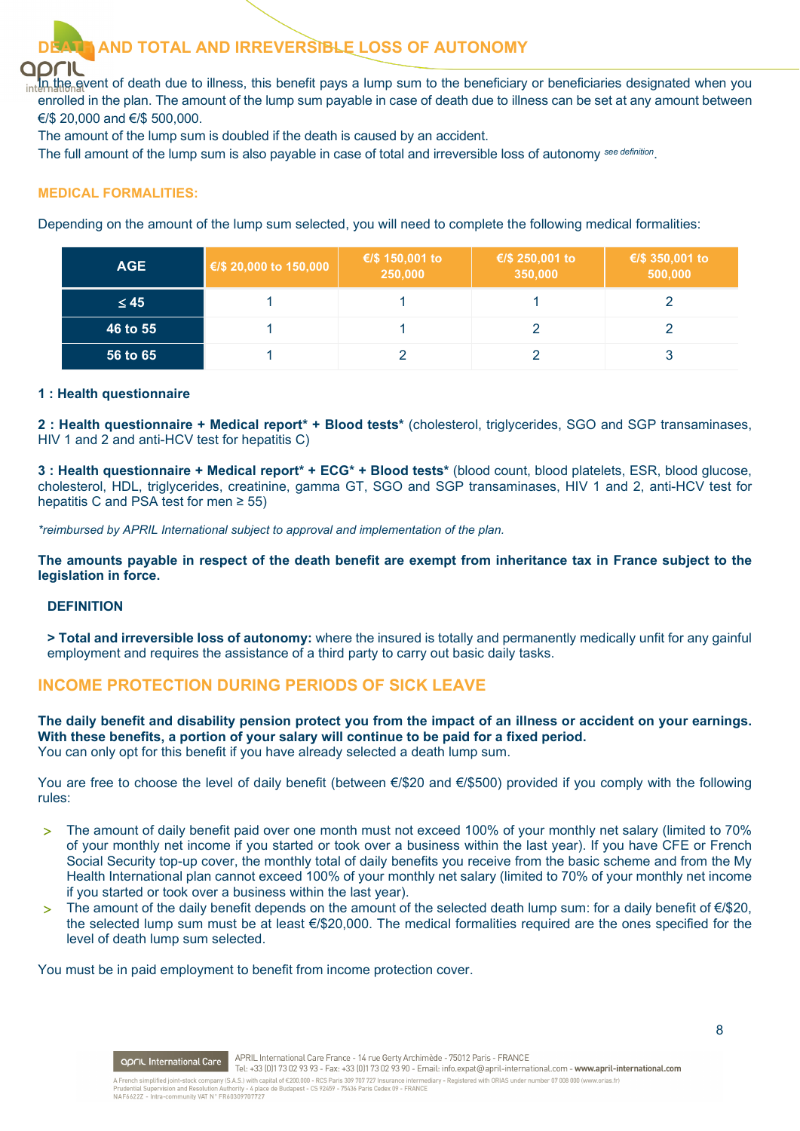

# **DEAMP TOTAL AND IRREVERSIBLE LOSS OF AUTONOMY**

intlin the event of death due to illness, this benefit pays a lump sum to the beneficiary or beneficiaries designated when you enrolled in the plan. The amount of the lump sum payable in case of death due to illness can be set at any amount between €/\$ 20,000 and €/\$ 500,000.

The amount of the lump sum is doubled if the death is caused by an accident.

The full amount of the lump sum is also payable in case of total and irreversible loss of autonomy *see definition*.

### **MEDICAL FORMALITIES:**

Depending on the amount of the lump sum selected, you will need to complete the following medical formalities:

| <b>AGE</b> | €/\$ 20,000 to 150,000 | €/\$ 150,001 to<br>250,000 | €/\$ 250,001 to<br>350,000 | €/\$ 350,001 to<br>500,000 |
|------------|------------------------|----------------------------|----------------------------|----------------------------|
| $\leq 45$  |                        |                            |                            |                            |
| 46 to 55   |                        |                            |                            |                            |
| 56 to 65   |                        |                            |                            |                            |

### **1 : Health questionnaire**

**2 : Health questionnaire + Medical report\* + Blood tests\*** (cholesterol, triglycerides, SGO and SGP transaminases, HIV 1 and 2 and anti-HCV test for hepatitis C)

**3 : Health questionnaire + Medical report\* + ECG\* + Blood tests\*** (blood count, blood platelets, ESR, blood glucose, cholesterol, HDL, triglycerides, creatinine, gamma GT, SGO and SGP transaminases, HIV 1 and 2, anti-HCV test for hepatitis C and PSA test for men ≥ 55)

*\*reimbursed by APRIL International subject to approval and implementation of the plan.*

**The amounts payable in respect of the death benefit are exempt from inheritance tax in France subject to the legislation in force.**

### **DEFINITION**

**> Total and irreversible loss of autonomy:** where the insured is totally and permanently medically unfit for any gainful employment and requires the assistance of a third party to carry out basic daily tasks.

### **INCOME PROTECTION DURING PERIODS OF SICK LEAVE**

**The daily benefit and disability pension protect you from the impact of an illness or accident on your earnings. With these benefits, a portion of your salary will continue to be paid for a fixed period.** You can only opt for this benefit if you have already selected a death lump sum.

You are free to choose the level of daily benefit (between €/\$20 and €/\$500) provided if you comply with the following rules:

- > The amount of daily benefit paid over one month must not exceed 100% of your monthly net salary (limited to 70% of your monthly net income if you started or took over a business within the last year). If you have CFE or French Social Security top-up cover, the monthly total of daily benefits you receive from the basic scheme and from the My Health International plan cannot exceed 100% of your monthly net salary (limited to 70% of your monthly net income if you started or took over a business within the last year).
- > The amount of the daily benefit depends on the amount of the selected death lump sum: for a daily benefit of €/\$20, the selected lump sum must be at least €/\$20,000. The medical formalities required are the ones specified for the level of death lump sum selected.

You must be in paid employment to benefit from income protection cover.

**APRIL International Care** APRIL International Care France - 14 rue Gerty Archimède - 75012 Paris - FRANCE<br>Tel: +33 (0)173 02 93 93 - Fax: +33 (0)173 02 93 90 - Email: info.expat@april-international.com - www.april-interna APRIL International Care France - 14 rue Gerty Archimède - 75012 Paris - FRANCE A French simplified joint-stock company (S.A.S.) with capital of €200,000 - RCS Paris 309 707 727 Insurance intermediary - Registered with ORIAS under number 07 008 000 (www.orias.fr)<br>Prudential Supervision and Resolution A French simplified joint-stock company (S.A.S.) With ca<br>Prudential Supervision and Resolution Authority - 4 plac<br>NAF6622Z - Intra-community VAT N° FR60309707727